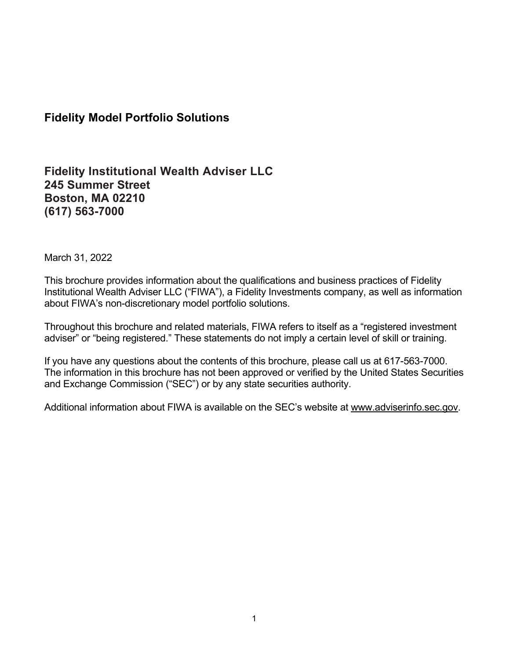## **Fidelity Model Portfolio Solutions**

## **Fidelity Institutional Wealth Adviser LLC 245 Summer Street Boston, MA 02210 (617) 563-7000**

March 31, 2022

This brochure provides information about the qualifications and business practices of Fidelity Institutional Wealth Adviser LLC ("FIWA"), a Fidelity Investments company, as well as information about FIWA's non-discretionary model portfolio solutions.

Throughout this brochure and related materials, FIWA refers to itself as a "registered investment adviser" or "being registered." These statements do not imply a certain level of skill or training.

If you have any questions about the contents of this brochure, please call us at 617-563-7000. The information in this brochure has not been approved or verified by the United States Securities and Exchange Commission ("SEC") or by any state securities authority.

Additional information about FIWA is available on the SEC's website at [www.adviserinfo.sec.gov.](http://www.adviserinfo.sec.gov/)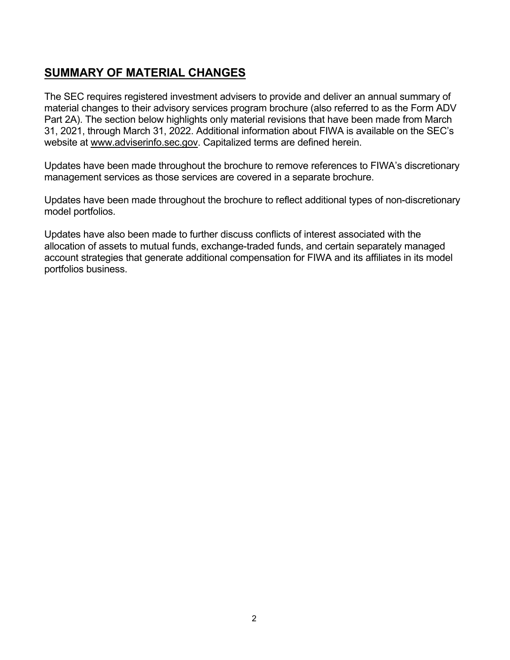# <span id="page-1-0"></span>**SUMMARY OF MATERIAL CHANGES**

The SEC requires registered investment advisers to provide and deliver an annual summary of material changes to their advisory services program brochure (also referred to as the Form ADV Part 2A). The section below highlights only material revisions that have been made from March 31, 2021, through March 31, 2022. Additional information about FIWA is available on the SEC's website at [www.adviserinfo.sec.gov.](http://www.adviserinfo.sec.gov/) Capitalized terms are defined herein.

Updates have been made throughout the brochure to remove references to FIWA's discretionary management services as those services are covered in a separate brochure.

Updates have been made throughout the brochure to reflect additional types of non-discretionary model portfolios.

Updates have also been made to further discuss conflicts of interest associated with the allocation of assets to mutual funds, exchange-traded funds, and certain separately managed account strategies that generate additional compensation for FIWA and its affiliates in its model portfolios business.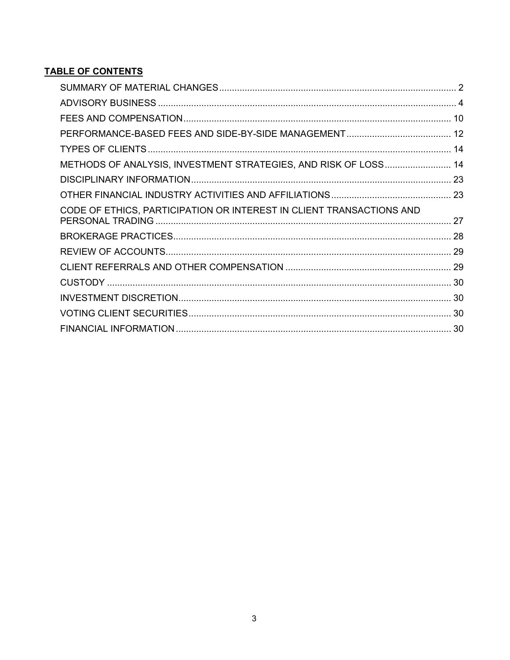## **TABLE OF CONTENTS**

| METHODS OF ANALYSIS, INVESTMENT STRATEGIES, AND RISK OF LOSS 14      |  |
|----------------------------------------------------------------------|--|
|                                                                      |  |
|                                                                      |  |
| CODE OF ETHICS, PARTICIPATION OR INTEREST IN CLIENT TRANSACTIONS AND |  |
|                                                                      |  |
|                                                                      |  |
|                                                                      |  |
|                                                                      |  |
|                                                                      |  |
|                                                                      |  |
|                                                                      |  |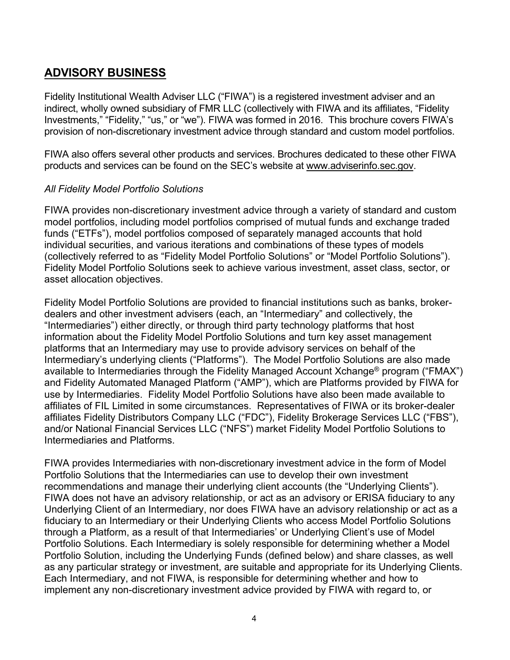# <span id="page-3-0"></span>**ADVISORY BUSINESS**

Fidelity Institutional Wealth Adviser LLC ("FIWA") is a registered investment adviser and an indirect, wholly owned subsidiary of FMR LLC (collectively with FIWA and its affiliates, "Fidelity Investments," "Fidelity," "us," or "we"). FIWA was formed in 2016. This brochure covers FIWA's provision of non-discretionary investment advice through standard and custom model portfolios.

FIWA also offers several other products and services. Brochures dedicated to these other FIWA products and services can be found on the SEC's website at [www.adviserinfo.sec.gov.](http://www.adviserinfo.sec.gov/)

## *All Fidelity Model Portfolio Solutions*

FIWA provides non-discretionary investment advice through a variety of standard and custom model portfolios, including model portfolios comprised of mutual funds and exchange traded funds ("ETFs"), model portfolios composed of separately managed accounts that hold individual securities, and various iterations and combinations of these types of models (collectively referred to as "Fidelity Model Portfolio Solutions" or "Model Portfolio Solutions"). Fidelity Model Portfolio Solutions seek to achieve various investment, asset class, sector, or asset allocation objectives.

Fidelity Model Portfolio Solutions are provided to financial institutions such as banks, brokerdealers and other investment advisers (each, an "Intermediary" and collectively, the "Intermediaries") either directly, or through third party technology platforms that host information about the Fidelity Model Portfolio Solutions and turn key asset management platforms that an Intermediary may use to provide advisory services on behalf of the Intermediary's underlying clients ("Platforms"). The Model Portfolio Solutions are also made available to Intermediaries through the Fidelity Managed Account Xchange® program ("FMAX") and Fidelity Automated Managed Platform ("AMP"), which are Platforms provided by FIWA for use by Intermediaries. Fidelity Model Portfolio Solutions have also been made available to affiliates of FIL Limited in some circumstances. Representatives of FIWA or its broker-dealer affiliates Fidelity Distributors Company LLC ("FDC"), Fidelity Brokerage Services LLC ("FBS"), and/or National Financial Services LLC ("NFS") market Fidelity Model Portfolio Solutions to Intermediaries and Platforms.

FIWA provides Intermediaries with non-discretionary investment advice in the form of Model Portfolio Solutions that the Intermediaries can use to develop their own investment recommendations and manage their underlying client accounts (the "Underlying Clients"). FIWA does not have an advisory relationship, or act as an advisory or ERISA fiduciary to any Underlying Client of an Intermediary, nor does FIWA have an advisory relationship or act as a fiduciary to an Intermediary or their Underlying Clients who access Model Portfolio Solutions through a Platform, as a result of that Intermediaries' or Underlying Client's use of Model Portfolio Solutions. Each Intermediary is solely responsible for determining whether a Model Portfolio Solution, including the Underlying Funds (defined below) and share classes, as well as any particular strategy or investment, are suitable and appropriate for its Underlying Clients. Each Intermediary, and not FIWA, is responsible for determining whether and how to implement any non-discretionary investment advice provided by FIWA with regard to, or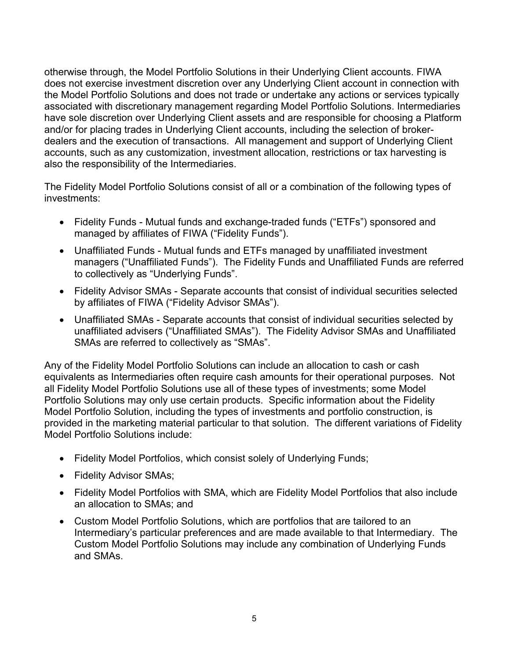otherwise through, the Model Portfolio Solutions in their Underlying Client accounts. FIWA does not exercise investment discretion over any Underlying Client account in connection with the Model Portfolio Solutions and does not trade or undertake any actions or services typically associated with discretionary management regarding Model Portfolio Solutions. Intermediaries have sole discretion over Underlying Client assets and are responsible for choosing a Platform and/or for placing trades in Underlying Client accounts, including the selection of brokerdealers and the execution of transactions. All management and support of Underlying Client accounts, such as any customization, investment allocation, restrictions or tax harvesting is also the responsibility of the Intermediaries.

The Fidelity Model Portfolio Solutions consist of all or a combination of the following types of investments:

- Fidelity Funds Mutual funds and exchange-traded funds ("ETFs") sponsored and managed by affiliates of FIWA ("Fidelity Funds").
- Unaffiliated Funds Mutual funds and ETFs managed by unaffiliated investment managers ("Unaffiliated Funds"). The Fidelity Funds and Unaffiliated Funds are referred to collectively as "Underlying Funds".
- Fidelity Advisor SMAs Separate accounts that consist of individual securities selected by affiliates of FIWA ("Fidelity Advisor SMAs").
- Unaffiliated SMAs Separate accounts that consist of individual securities selected by unaffiliated advisers ("Unaffiliated SMAs"). The Fidelity Advisor SMAs and Unaffiliated SMAs are referred to collectively as "SMAs".

Any of the Fidelity Model Portfolio Solutions can include an allocation to cash or cash equivalents as Intermediaries often require cash amounts for their operational purposes. Not all Fidelity Model Portfolio Solutions use all of these types of investments; some Model Portfolio Solutions may only use certain products. Specific information about the Fidelity Model Portfolio Solution, including the types of investments and portfolio construction, is provided in the marketing material particular to that solution. The different variations of Fidelity Model Portfolio Solutions include:

- Fidelity Model Portfolios, which consist solely of Underlying Funds;
- Fidelity Advisor SMAs;
- Fidelity Model Portfolios with SMA, which are Fidelity Model Portfolios that also include an allocation to SMAs; and
- Custom Model Portfolio Solutions, which are portfolios that are tailored to an Intermediary's particular preferences and are made available to that Intermediary. The Custom Model Portfolio Solutions may include any combination of Underlying Funds and SMAs.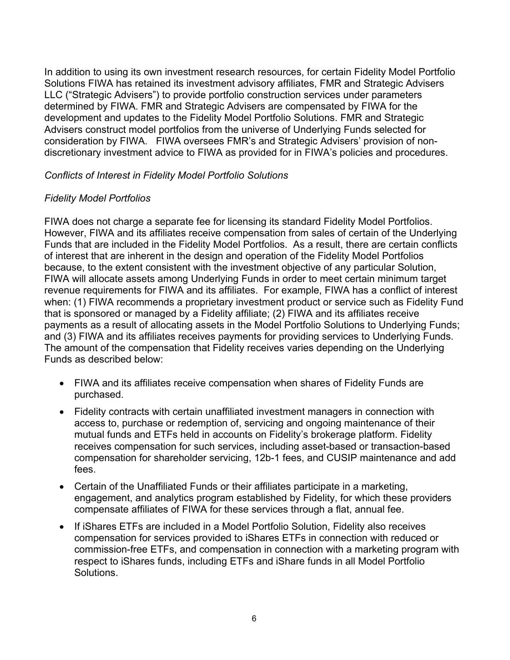In addition to using its own investment research resources, for certain Fidelity Model Portfolio Solutions FIWA has retained its investment advisory affiliates, FMR and Strategic Advisers LLC ("Strategic Advisers") to provide portfolio construction services under parameters determined by FIWA. FMR and Strategic Advisers are compensated by FIWA for the development and updates to the Fidelity Model Portfolio Solutions. FMR and Strategic Advisers construct model portfolios from the universe of Underlying Funds selected for consideration by FIWA. FIWA oversees FMR's and Strategic Advisers' provision of nondiscretionary investment advice to FIWA as provided for in FIWA's policies and procedures.

## *Conflicts of Interest in Fidelity Model Portfolio Solutions*

## *Fidelity Model Portfolios*

FIWA does not charge a separate fee for licensing its standard Fidelity Model Portfolios. However, FIWA and its affiliates receive compensation from sales of certain of the Underlying Funds that are included in the Fidelity Model Portfolios. As a result, there are certain conflicts of interest that are inherent in the design and operation of the Fidelity Model Portfolios because, to the extent consistent with the investment objective of any particular Solution, FIWA will allocate assets among Underlying Funds in order to meet certain minimum target revenue requirements for FIWA and its affiliates. For example, FIWA has a conflict of interest when: (1) FIWA recommends a proprietary investment product or service such as Fidelity Fund that is sponsored or managed by a Fidelity affiliate; (2) FIWA and its affiliates receive payments as a result of allocating assets in the Model Portfolio Solutions to Underlying Funds; and (3) FIWA and its affiliates receives payments for providing services to Underlying Funds. The amount of the compensation that Fidelity receives varies depending on the Underlying Funds as described below:

- FIWA and its affiliates receive compensation when shares of Fidelity Funds are purchased.
- Fidelity contracts with certain unaffiliated investment managers in connection with access to, purchase or redemption of, servicing and ongoing maintenance of their mutual funds and ETFs held in accounts on Fidelity's brokerage platform. Fidelity receives compensation for such services, including asset-based or transaction-based compensation for shareholder servicing, 12b-1 fees, and CUSIP maintenance and add fees.
- Certain of the Unaffiliated Funds or their affiliates participate in a marketing, engagement, and analytics program established by Fidelity, for which these providers compensate affiliates of FIWA for these services through a flat, annual fee.
- If iShares ETFs are included in a Model Portfolio Solution, Fidelity also receives compensation for services provided to iShares ETFs in connection with reduced or commission-free ETFs, and compensation in connection with a marketing program with respect to iShares funds, including ETFs and iShare funds in all Model Portfolio Solutions.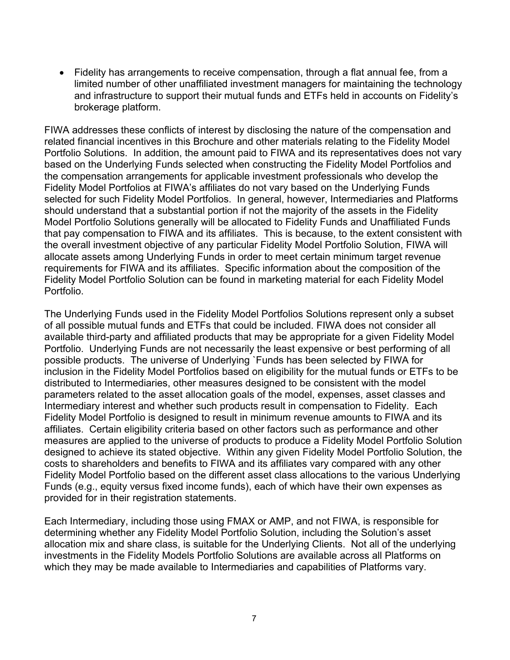• Fidelity has arrangements to receive compensation, through a flat annual fee, from a limited number of other unaffiliated investment managers for maintaining the technology and infrastructure to support their mutual funds and ETFs held in accounts on Fidelity's brokerage platform.

FIWA addresses these conflicts of interest by disclosing the nature of the compensation and related financial incentives in this Brochure and other materials relating to the Fidelity Model Portfolio Solutions. In addition, the amount paid to FIWA and its representatives does not vary based on the Underlying Funds selected when constructing the Fidelity Model Portfolios and the compensation arrangements for applicable investment professionals who develop the Fidelity Model Portfolios at FIWA's affiliates do not vary based on the Underlying Funds selected for such Fidelity Model Portfolios. In general, however, Intermediaries and Platforms should understand that a substantial portion if not the majority of the assets in the Fidelity Model Portfolio Solutions generally will be allocated to Fidelity Funds and Unaffiliated Funds that pay compensation to FIWA and its affiliates. This is because, to the extent consistent with the overall investment objective of any particular Fidelity Model Portfolio Solution, FIWA will allocate assets among Underlying Funds in order to meet certain minimum target revenue requirements for FIWA and its affiliates. Specific information about the composition of the Fidelity Model Portfolio Solution can be found in marketing material for each Fidelity Model Portfolio.

The Underlying Funds used in the Fidelity Model Portfolios Solutions represent only a subset of all possible mutual funds and ETFs that could be included. FIWA does not consider all available third-party and affiliated products that may be appropriate for a given Fidelity Model Portfolio. Underlying Funds are not necessarily the least expensive or best performing of all possible products. The universe of Underlying `Funds has been selected by FIWA for inclusion in the Fidelity Model Portfolios based on eligibility for the mutual funds or ETFs to be distributed to Intermediaries, other measures designed to be consistent with the model parameters related to the asset allocation goals of the model, expenses, asset classes and Intermediary interest and whether such products result in compensation to Fidelity. Each Fidelity Model Portfolio is designed to result in minimum revenue amounts to FIWA and its affiliates. Certain eligibility criteria based on other factors such as performance and other measures are applied to the universe of products to produce a Fidelity Model Portfolio Solution designed to achieve its stated objective. Within any given Fidelity Model Portfolio Solution, the costs to shareholders and benefits to FIWA and its affiliates vary compared with any other Fidelity Model Portfolio based on the different asset class allocations to the various Underlying Funds (e.g., equity versus fixed income funds), each of which have their own expenses as provided for in their registration statements.

Each Intermediary, including those using FMAX or AMP, and not FIWA, is responsible for determining whether any Fidelity Model Portfolio Solution, including the Solution's asset allocation mix and share class, is suitable for the Underlying Clients. Not all of the underlying investments in the Fidelity Models Portfolio Solutions are available across all Platforms on which they may be made available to Intermediaries and capabilities of Platforms vary.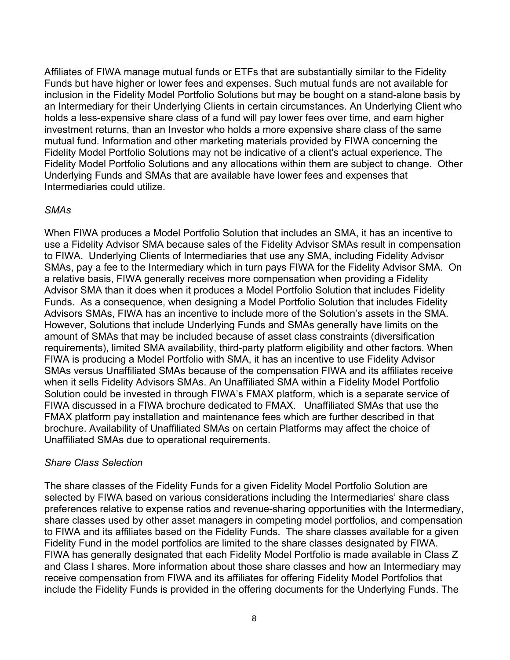Affiliates of FIWA manage mutual funds or ETFs that are substantially similar to the Fidelity Funds but have higher or lower fees and expenses. Such mutual funds are not available for inclusion in the Fidelity Model Portfolio Solutions but may be bought on a stand-alone basis by an Intermediary for their Underlying Clients in certain circumstances. An Underlying Client who holds a less-expensive share class of a fund will pay lower fees over time, and earn higher investment returns, than an Investor who holds a more expensive share class of the same mutual fund. Information and other marketing materials provided by FIWA concerning the Fidelity Model Portfolio Solutions may not be indicative of a client's actual experience. The Fidelity Model Portfolio Solutions and any allocations within them are subject to change. Other Underlying Funds and SMAs that are available have lower fees and expenses that Intermediaries could utilize.

## *SMAs*

When FIWA produces a Model Portfolio Solution that includes an SMA, it has an incentive to use a Fidelity Advisor SMA because sales of the Fidelity Advisor SMAs result in compensation to FIWA. Underlying Clients of Intermediaries that use any SMA, including Fidelity Advisor SMAs, pay a fee to the Intermediary which in turn pays FIWA for the Fidelity Advisor SMA. On a relative basis, FIWA generally receives more compensation when providing a Fidelity Advisor SMA than it does when it produces a Model Portfolio Solution that includes Fidelity Funds. As a consequence, when designing a Model Portfolio Solution that includes Fidelity Advisors SMAs, FIWA has an incentive to include more of the Solution's assets in the SMA. However, Solutions that include Underlying Funds and SMAs generally have limits on the amount of SMAs that may be included because of asset class constraints (diversification requirements), limited SMA availability, third-party platform eligibility and other factors. When FIWA is producing a Model Portfolio with SMA, it has an incentive to use Fidelity Advisor SMAs versus Unaffiliated SMAs because of the compensation FIWA and its affiliates receive when it sells Fidelity Advisors SMAs. An Unaffiliated SMA within a Fidelity Model Portfolio Solution could be invested in through FIWA's FMAX platform, which is a separate service of FIWA discussed in a FIWA brochure dedicated to FMAX. Unaffiliated SMAs that use the FMAX platform pay installation and maintenance fees which are further described in that brochure. Availability of Unaffiliated SMAs on certain Platforms may affect the choice of Unaffiliated SMAs due to operational requirements.

#### *Share Class Selection*

The share classes of the Fidelity Funds for a given Fidelity Model Portfolio Solution are selected by FIWA based on various considerations including the Intermediaries' share class preferences relative to expense ratios and revenue-sharing opportunities with the Intermediary, share classes used by other asset managers in competing model portfolios, and compensation to FIWA and its affiliates based on the Fidelity Funds. The share classes available for a given Fidelity Fund in the model portfolios are limited to the share classes designated by FIWA. FIWA has generally designated that each Fidelity Model Portfolio is made available in Class Z and Class I shares. More information about those share classes and how an Intermediary may receive compensation from FIWA and its affiliates for offering Fidelity Model Portfolios that include the Fidelity Funds is provided in the offering documents for the Underlying Funds. The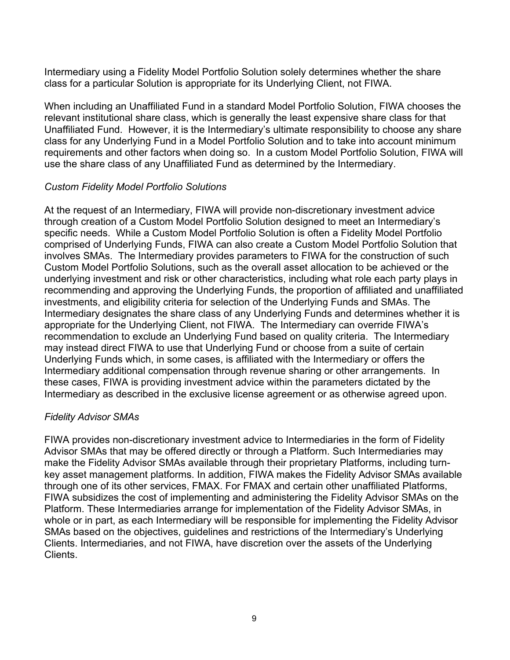Intermediary using a Fidelity Model Portfolio Solution solely determines whether the share class for a particular Solution is appropriate for its Underlying Client, not FIWA.

When including an Unaffiliated Fund in a standard Model Portfolio Solution, FIWA chooses the relevant institutional share class, which is generally the least expensive share class for that Unaffiliated Fund. However, it is the Intermediary's ultimate responsibility to choose any share class for any Underlying Fund in a Model Portfolio Solution and to take into account minimum requirements and other factors when doing so. In a custom Model Portfolio Solution, FIWA will use the share class of any Unaffiliated Fund as determined by the Intermediary.

### *Custom Fidelity Model Portfolio Solutions*

At the request of an Intermediary, FIWA will provide non-discretionary investment advice through creation of a Custom Model Portfolio Solution designed to meet an Intermediary's specific needs. While a Custom Model Portfolio Solution is often a Fidelity Model Portfolio comprised of Underlying Funds, FIWA can also create a Custom Model Portfolio Solution that involves SMAs. The Intermediary provides parameters to FIWA for the construction of such Custom Model Portfolio Solutions, such as the overall asset allocation to be achieved or the underlying investment and risk or other characteristics, including what role each party plays in recommending and approving the Underlying Funds, the proportion of affiliated and unaffiliated investments, and eligibility criteria for selection of the Underlying Funds and SMAs. The Intermediary designates the share class of any Underlying Funds and determines whether it is appropriate for the Underlying Client, not FIWA. The Intermediary can override FIWA's recommendation to exclude an Underlying Fund based on quality criteria. The Intermediary may instead direct FIWA to use that Underlying Fund or choose from a suite of certain Underlying Funds which, in some cases, is affiliated with the Intermediary or offers the Intermediary additional compensation through revenue sharing or other arrangements. In these cases, FIWA is providing investment advice within the parameters dictated by the Intermediary as described in the exclusive license agreement or as otherwise agreed upon.

#### *Fidelity Advisor SMAs*

FIWA provides non-discretionary investment advice to Intermediaries in the form of Fidelity Advisor SMAs that may be offered directly or through a Platform. Such Intermediaries may make the Fidelity Advisor SMAs available through their proprietary Platforms, including turnkey asset management platforms. In addition, FIWA makes the Fidelity Advisor SMAs available through one of its other services, FMAX. For FMAX and certain other unaffiliated Platforms, FIWA subsidizes the cost of implementing and administering the Fidelity Advisor SMAs on the Platform. These Intermediaries arrange for implementation of the Fidelity Advisor SMAs, in whole or in part, as each Intermediary will be responsible for implementing the Fidelity Advisor SMAs based on the objectives, guidelines and restrictions of the Intermediary's Underlying Clients. Intermediaries, and not FIWA, have discretion over the assets of the Underlying **Clients**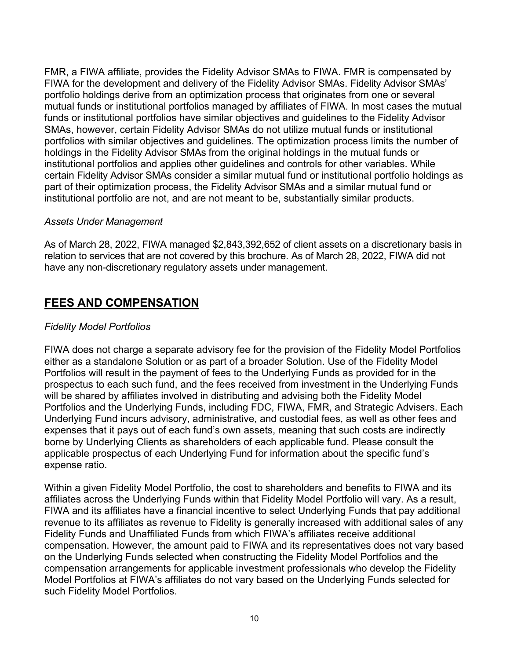FMR, a FIWA affiliate, provides the Fidelity Advisor SMAs to FIWA. FMR is compensated by FIWA for the development and delivery of the Fidelity Advisor SMAs. Fidelity Advisor SMAs' portfolio holdings derive from an optimization process that originates from one or several mutual funds or institutional portfolios managed by affiliates of FIWA. In most cases the mutual funds or institutional portfolios have similar objectives and guidelines to the Fidelity Advisor SMAs, however, certain Fidelity Advisor SMAs do not utilize mutual funds or institutional portfolios with similar objectives and guidelines. The optimization process limits the number of holdings in the Fidelity Advisor SMAs from the original holdings in the mutual funds or institutional portfolios and applies other guidelines and controls for other variables. While certain Fidelity Advisor SMAs consider a similar mutual fund or institutional portfolio holdings as part of their optimization process, the Fidelity Advisor SMAs and a similar mutual fund or institutional portfolio are not, and are not meant to be, substantially similar products.

### *Assets Under Management*

As of March 28, 2022, FIWA managed \$2,843,392,652 of client assets on a discretionary basis in relation to services that are not covered by this brochure. As of March 28, 2022, FIWA did not have any non-discretionary regulatory assets under management.

## <span id="page-9-0"></span>**FEES AND COMPENSATION**

## *Fidelity Model Portfolios*

FIWA does not charge a separate advisory fee for the provision of the Fidelity Model Portfolios either as a standalone Solution or as part of a broader Solution. Use of the Fidelity Model Portfolios will result in the payment of fees to the Underlying Funds as provided for in the prospectus to each such fund, and the fees received from investment in the Underlying Funds will be shared by affiliates involved in distributing and advising both the Fidelity Model Portfolios and the Underlying Funds, including FDC, FIWA, FMR, and Strategic Advisers. Each Underlying Fund incurs advisory, administrative, and custodial fees, as well as other fees and expenses that it pays out of each fund's own assets, meaning that such costs are indirectly borne by Underlying Clients as shareholders of each applicable fund. Please consult the applicable prospectus of each Underlying Fund for information about the specific fund's expense ratio.

Within a given Fidelity Model Portfolio, the cost to shareholders and benefits to FIWA and its affiliates across the Underlying Funds within that Fidelity Model Portfolio will vary. As a result, FIWA and its affiliates have a financial incentive to select Underlying Funds that pay additional revenue to its affiliates as revenue to Fidelity is generally increased with additional sales of any Fidelity Funds and Unaffiliated Funds from which FIWA's affiliates receive additional compensation. However, the amount paid to FIWA and its representatives does not vary based on the Underlying Funds selected when constructing the Fidelity Model Portfolios and the compensation arrangements for applicable investment professionals who develop the Fidelity Model Portfolios at FIWA's affiliates do not vary based on the Underlying Funds selected for such Fidelity Model Portfolios.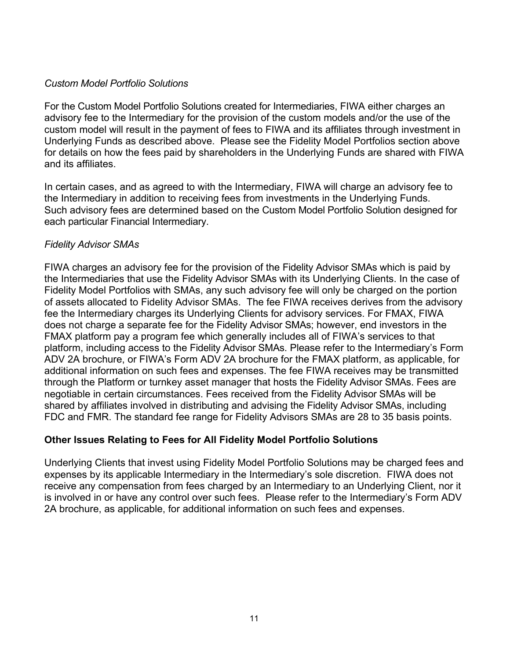#### *Custom Model Portfolio Solutions*

For the Custom Model Portfolio Solutions created for Intermediaries, FIWA either charges an advisory fee to the Intermediary for the provision of the custom models and/or the use of the custom model will result in the payment of fees to FIWA and its affiliates through investment in Underlying Funds as described above. Please see the Fidelity Model Portfolios section above for details on how the fees paid by shareholders in the Underlying Funds are shared with FIWA and its affiliates.

In certain cases, and as agreed to with the Intermediary, FIWA will charge an advisory fee to the Intermediary in addition to receiving fees from investments in the Underlying Funds. Such advisory fees are determined based on the Custom Model Portfolio Solution designed for each particular Financial Intermediary.

### *Fidelity Advisor SMAs*

FIWA charges an advisory fee for the provision of the Fidelity Advisor SMAs which is paid by the Intermediaries that use the Fidelity Advisor SMAs with its Underlying Clients. In the case of Fidelity Model Portfolios with SMAs, any such advisory fee will only be charged on the portion of assets allocated to Fidelity Advisor SMAs. The fee FIWA receives derives from the advisory fee the Intermediary charges its Underlying Clients for advisory services. For FMAX, FIWA does not charge a separate fee for the Fidelity Advisor SMAs; however, end investors in the FMAX platform pay a program fee which generally includes all of FIWA's services to that platform, including access to the Fidelity Advisor SMAs. Please refer to the Intermediary's Form ADV 2A brochure, or FIWA's Form ADV 2A brochure for the FMAX platform, as applicable, for additional information on such fees and expenses. The fee FIWA receives may be transmitted through the Platform or turnkey asset manager that hosts the Fidelity Advisor SMAs. Fees are negotiable in certain circumstances. Fees received from the Fidelity Advisor SMAs will be shared by affiliates involved in distributing and advising the Fidelity Advisor SMAs, including FDC and FMR. The standard fee range for Fidelity Advisors SMAs are 28 to 35 basis points.

## **Other Issues Relating to Fees for All Fidelity Model Portfolio Solutions**

Underlying Clients that invest using Fidelity Model Portfolio Solutions may be charged fees and expenses by its applicable Intermediary in the Intermediary's sole discretion. FIWA does not receive any compensation from fees charged by an Intermediary to an Underlying Client, nor it is involved in or have any control over such fees. Please refer to the Intermediary's Form ADV 2A brochure, as applicable, for additional information on such fees and expenses.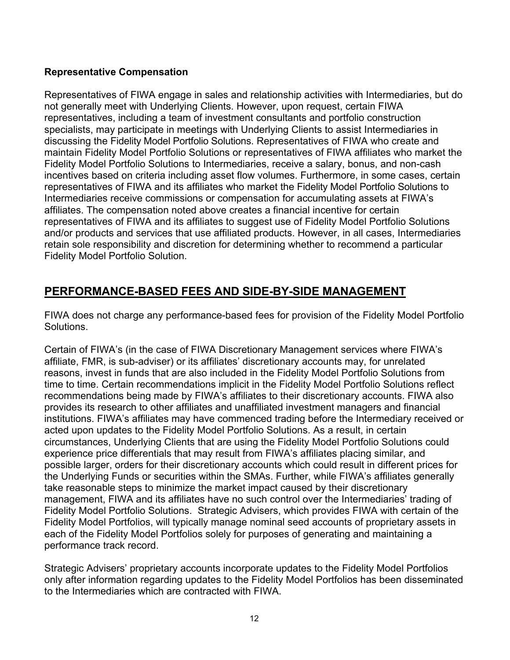## **Representative Compensation**

Representatives of FIWA engage in sales and relationship activities with Intermediaries, but do not generally meet with Underlying Clients. However, upon request, certain FIWA representatives, including a team of investment consultants and portfolio construction specialists, may participate in meetings with Underlying Clients to assist Intermediaries in discussing the Fidelity Model Portfolio Solutions. Representatives of FIWA who create and maintain Fidelity Model Portfolio Solutions or representatives of FIWA affiliates who market the Fidelity Model Portfolio Solutions to Intermediaries, receive a salary, bonus, and non-cash incentives based on criteria including asset flow volumes. Furthermore, in some cases, certain representatives of FIWA and its affiliates who market the Fidelity Model Portfolio Solutions to Intermediaries receive commissions or compensation for accumulating assets at FIWA's affiliates. The compensation noted above creates a financial incentive for certain representatives of FIWA and its affiliates to suggest use of Fidelity Model Portfolio Solutions and/or products and services that use affiliated products. However, in all cases, Intermediaries retain sole responsibility and discretion for determining whether to recommend a particular Fidelity Model Portfolio Solution.

# <span id="page-11-0"></span>**PERFORMANCE-BASED FEES AND SIDE-BY-SIDE MANAGEMENT**

FIWA does not charge any performance-based fees for provision of the Fidelity Model Portfolio Solutions.

Certain of FIWA's (in the case of FIWA Discretionary Management services where FIWA's affiliate, FMR, is sub-adviser) or its affiliates' discretionary accounts may, for unrelated reasons, invest in funds that are also included in the Fidelity Model Portfolio Solutions from time to time. Certain recommendations implicit in the Fidelity Model Portfolio Solutions reflect recommendations being made by FIWA's affiliates to their discretionary accounts. FIWA also provides its research to other affiliates and unaffiliated investment managers and financial institutions. FIWA's affiliates may have commenced trading before the Intermediary received or acted upon updates to the Fidelity Model Portfolio Solutions. As a result, in certain circumstances, Underlying Clients that are using the Fidelity Model Portfolio Solutions could experience price differentials that may result from FIWA's affiliates placing similar, and possible larger, orders for their discretionary accounts which could result in different prices for the Underlying Funds or securities within the SMAs. Further, while FIWA's affiliates generally take reasonable steps to minimize the market impact caused by their discretionary management, FIWA and its affiliates have no such control over the Intermediaries' trading of Fidelity Model Portfolio Solutions. Strategic Advisers, which provides FIWA with certain of the Fidelity Model Portfolios, will typically manage nominal seed accounts of proprietary assets in each of the Fidelity Model Portfolios solely for purposes of generating and maintaining a performance track record.

Strategic Advisers' proprietary accounts incorporate updates to the Fidelity Model Portfolios only after information regarding updates to the Fidelity Model Portfolios has been disseminated to the Intermediaries which are contracted with FIWA.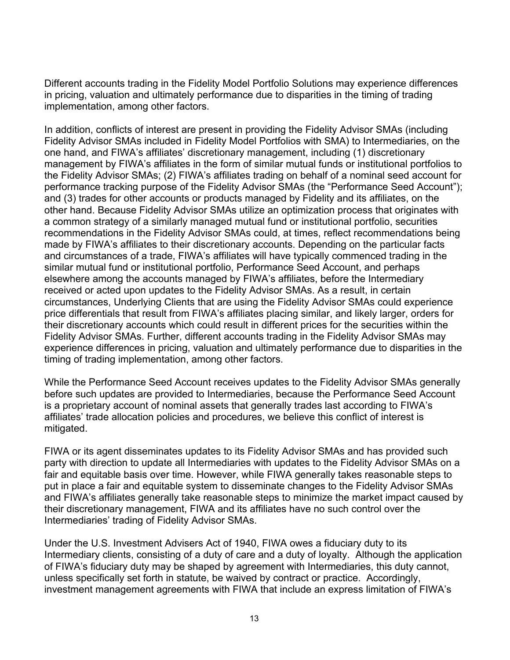Different accounts trading in the Fidelity Model Portfolio Solutions may experience differences in pricing, valuation and ultimately performance due to disparities in the timing of trading implementation, among other factors.

In addition, conflicts of interest are present in providing the Fidelity Advisor SMAs (including Fidelity Advisor SMAs included in Fidelity Model Portfolios with SMA) to Intermediaries, on the one hand, and FIWA's affiliates' discretionary management, including (1) discretionary management by FIWA's affiliates in the form of similar mutual funds or institutional portfolios to the Fidelity Advisor SMAs; (2) FIWA's affiliates trading on behalf of a nominal seed account for performance tracking purpose of the Fidelity Advisor SMAs (the "Performance Seed Account"); and (3) trades for other accounts or products managed by Fidelity and its affiliates, on the other hand. Because Fidelity Advisor SMAs utilize an optimization process that originates with a common strategy of a similarly managed mutual fund or institutional portfolio, securities recommendations in the Fidelity Advisor SMAs could, at times, reflect recommendations being made by FIWA's affiliates to their discretionary accounts. Depending on the particular facts and circumstances of a trade, FIWA's affiliates will have typically commenced trading in the similar mutual fund or institutional portfolio, Performance Seed Account, and perhaps elsewhere among the accounts managed by FIWA's affiliates, before the Intermediary received or acted upon updates to the Fidelity Advisor SMAs. As a result, in certain circumstances, Underlying Clients that are using the Fidelity Advisor SMAs could experience price differentials that result from FIWA's affiliates placing similar, and likely larger, orders for their discretionary accounts which could result in different prices for the securities within the Fidelity Advisor SMAs. Further, different accounts trading in the Fidelity Advisor SMAs may experience differences in pricing, valuation and ultimately performance due to disparities in the timing of trading implementation, among other factors.

While the Performance Seed Account receives updates to the Fidelity Advisor SMAs generally before such updates are provided to Intermediaries, because the Performance Seed Account is a proprietary account of nominal assets that generally trades last according to FIWA's affiliates' trade allocation policies and procedures, we believe this conflict of interest is mitigated.

FIWA or its agent disseminates updates to its Fidelity Advisor SMAs and has provided such party with direction to update all Intermediaries with updates to the Fidelity Advisor SMAs on a fair and equitable basis over time. However, while FIWA generally takes reasonable steps to put in place a fair and equitable system to disseminate changes to the Fidelity Advisor SMAs and FIWA's affiliates generally take reasonable steps to minimize the market impact caused by their discretionary management, FIWA and its affiliates have no such control over the Intermediaries' trading of Fidelity Advisor SMAs.

Under the U.S. Investment Advisers Act of 1940, FIWA owes a fiduciary duty to its Intermediary clients, consisting of a duty of care and a duty of loyalty. Although the application of FIWA's fiduciary duty may be shaped by agreement with Intermediaries, this duty cannot, unless specifically set forth in statute, be waived by contract or practice. Accordingly, investment management agreements with FIWA that include an express limitation of FIWA's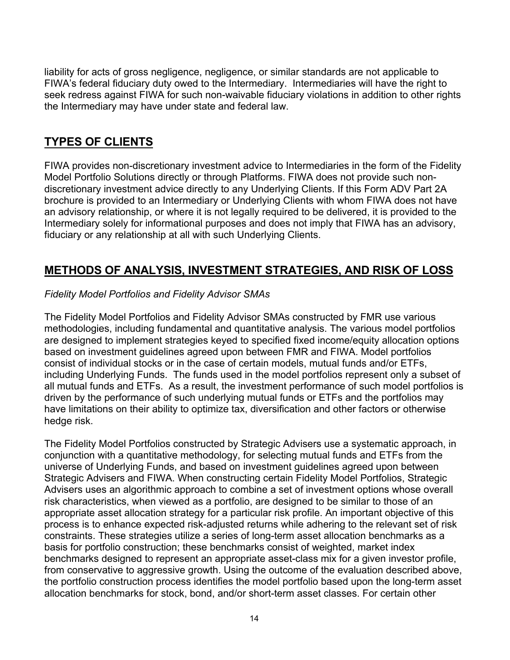liability for acts of gross negligence, negligence, or similar standards are not applicable to FIWA's federal fiduciary duty owed to the Intermediary. Intermediaries will have the right to seek redress against FIWA for such non-waivable fiduciary violations in addition to other rights the Intermediary may have under state and federal law.

## <span id="page-13-0"></span>**TYPES OF CLIENTS**

FIWA provides non-discretionary investment advice to Intermediaries in the form of the Fidelity Model Portfolio Solutions directly or through Platforms. FIWA does not provide such nondiscretionary investment advice directly to any Underlying Clients. If this Form ADV Part 2A brochure is provided to an Intermediary or Underlying Clients with whom FIWA does not have an advisory relationship, or where it is not legally required to be delivered, it is provided to the Intermediary solely for informational purposes and does not imply that FIWA has an advisory, fiduciary or any relationship at all with such Underlying Clients.

# <span id="page-13-1"></span>**METHODS OF ANALYSIS, INVESTMENT STRATEGIES, AND RISK OF LOSS**

## *Fidelity Model Portfolios and Fidelity Advisor SMAs*

The Fidelity Model Portfolios and Fidelity Advisor SMAs constructed by FMR use various methodologies, including fundamental and quantitative analysis. The various model portfolios are designed to implement strategies keyed to specified fixed income/equity allocation options based on investment guidelines agreed upon between FMR and FIWA. Model portfolios consist of individual stocks or in the case of certain models, mutual funds and/or ETFs, including Underlying Funds. The funds used in the model portfolios represent only a subset of all mutual funds and ETFs. As a result, the investment performance of such model portfolios is driven by the performance of such underlying mutual funds or ETFs and the portfolios may have limitations on their ability to optimize tax, diversification and other factors or otherwise hedge risk.

The Fidelity Model Portfolios constructed by Strategic Advisers use a systematic approach, in conjunction with a quantitative methodology, for selecting mutual funds and ETFs from the universe of Underlying Funds, and based on investment guidelines agreed upon between Strategic Advisers and FIWA. When constructing certain Fidelity Model Portfolios, Strategic Advisers uses an algorithmic approach to combine a set of investment options whose overall risk characteristics, when viewed as a portfolio, are designed to be similar to those of an appropriate asset allocation strategy for a particular risk profile. An important objective of this process is to enhance expected risk-adjusted returns while adhering to the relevant set of risk constraints. These strategies utilize a series of long-term asset allocation benchmarks as a basis for portfolio construction; these benchmarks consist of weighted, market index benchmarks designed to represent an appropriate asset-class mix for a given investor profile, from conservative to aggressive growth. Using the outcome of the evaluation described above, the portfolio construction process identifies the model portfolio based upon the long-term asset allocation benchmarks for stock, bond, and/or short-term asset classes. For certain other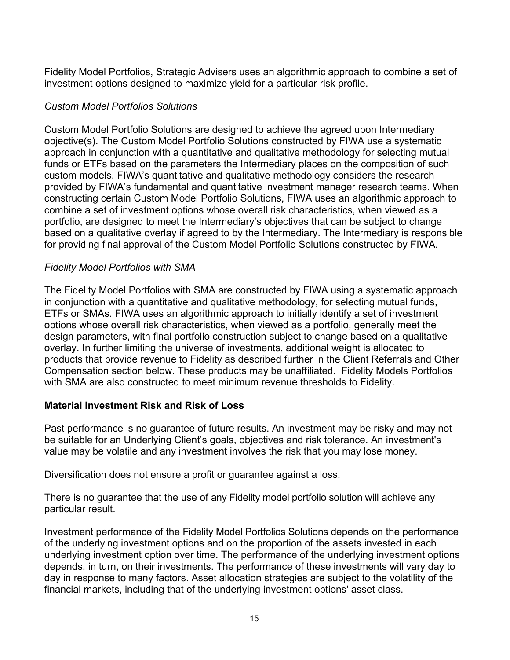Fidelity Model Portfolios, Strategic Advisers uses an algorithmic approach to combine a set of investment options designed to maximize yield for a particular risk profile.

### *Custom Model Portfolios Solutions*

Custom Model Portfolio Solutions are designed to achieve the agreed upon Intermediary objective(s). The Custom Model Portfolio Solutions constructed by FIWA use a systematic approach in conjunction with a quantitative and qualitative methodology for selecting mutual funds or ETFs based on the parameters the Intermediary places on the composition of such custom models. FIWA's quantitative and qualitative methodology considers the research provided by FIWA's fundamental and quantitative investment manager research teams. When constructing certain Custom Model Portfolio Solutions, FIWA uses an algorithmic approach to combine a set of investment options whose overall risk characteristics, when viewed as a portfolio, are designed to meet the Intermediary's objectives that can be subject to change based on a qualitative overlay if agreed to by the Intermediary. The Intermediary is responsible for providing final approval of the Custom Model Portfolio Solutions constructed by FIWA.

### *Fidelity Model Portfolios with SMA*

The Fidelity Model Portfolios with SMA are constructed by FIWA using a systematic approach in conjunction with a quantitative and qualitative methodology, for selecting mutual funds, ETFs or SMAs. FIWA uses an algorithmic approach to initially identify a set of investment options whose overall risk characteristics, when viewed as a portfolio, generally meet the design parameters, with final portfolio construction subject to change based on a qualitative overlay. In further limiting the universe of investments, additional weight is allocated to products that provide revenue to Fidelity as described further in the Client Referrals and Other Compensation section below. These products may be unaffiliated. Fidelity Models Portfolios with SMA are also constructed to meet minimum revenue thresholds to Fidelity.

#### **Material Investment Risk and Risk of Loss**

Past performance is no guarantee of future results. An investment may be risky and may not be suitable for an Underlying Client's goals, objectives and risk tolerance. An investment's value may be volatile and any investment involves the risk that you may lose money.

Diversification does not ensure a profit or guarantee against a loss.

There is no guarantee that the use of any Fidelity model portfolio solution will achieve any particular result.

Investment performance of the Fidelity Model Portfolios Solutions depends on the performance of the underlying investment options and on the proportion of the assets invested in each underlying investment option over time. The performance of the underlying investment options depends, in turn, on their investments. The performance of these investments will vary day to day in response to many factors. Asset allocation strategies are subject to the volatility of the financial markets, including that of the underlying investment options' asset class.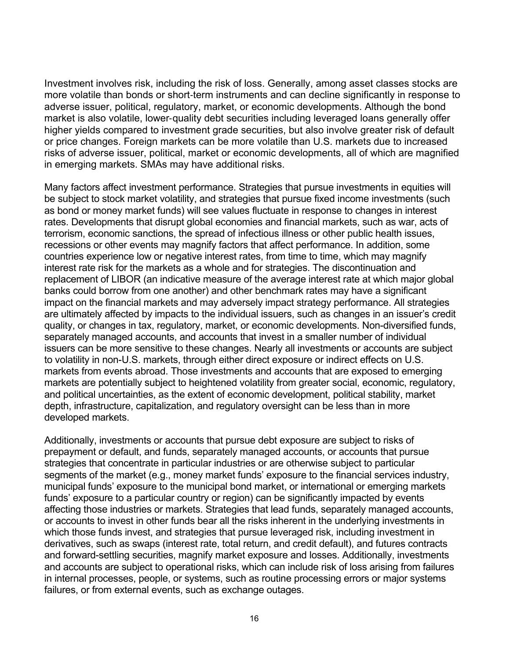Investment involves risk, including the risk of loss. Generally, among asset classes stocks are more volatile than bonds or short‐term instruments and can decline significantly in response to adverse issuer, political, regulatory, market, or economic developments. Although the bond market is also volatile, lower‐quality debt securities including leveraged loans generally offer higher yields compared to investment grade securities, but also involve greater risk of default or price changes. Foreign markets can be more volatile than U.S. markets due to increased risks of adverse issuer, political, market or economic developments, all of which are magnified in emerging markets. SMAs may have additional risks.

Many factors affect investment performance. Strategies that pursue investments in equities will be subject to stock market volatility, and strategies that pursue fixed income investments (such as bond or money market funds) will see values fluctuate in response to changes in interest rates. Developments that disrupt global economies and financial markets, such as war, acts of terrorism, economic sanctions, the spread of infectious illness or other public health issues, recessions or other events may magnify factors that affect performance. In addition, some countries experience low or negative interest rates, from time to time, which may magnify interest rate risk for the markets as a whole and for strategies. The discontinuation and replacement of LIBOR (an indicative measure of the average interest rate at which major global banks could borrow from one another) and other benchmark rates may have a significant impact on the financial markets and may adversely impact strategy performance. All strategies are ultimately affected by impacts to the individual issuers, such as changes in an issuer's credit quality, or changes in tax, regulatory, market, or economic developments. Non-diversified funds, separately managed accounts, and accounts that invest in a smaller number of individual issuers can be more sensitive to these changes. Nearly all investments or accounts are subject to volatility in non-U.S. markets, through either direct exposure or indirect effects on U.S. markets from events abroad. Those investments and accounts that are exposed to emerging markets are potentially subject to heightened volatility from greater social, economic, regulatory, and political uncertainties, as the extent of economic development, political stability, market depth, infrastructure, capitalization, and regulatory oversight can be less than in more developed markets.

Additionally, investments or accounts that pursue debt exposure are subject to risks of prepayment or default, and funds, separately managed accounts, or accounts that pursue strategies that concentrate in particular industries or are otherwise subject to particular segments of the market (e.g., money market funds' exposure to the financial services industry, municipal funds' exposure to the municipal bond market, or international or emerging markets funds' exposure to a particular country or region) can be significantly impacted by events affecting those industries or markets. Strategies that lead funds, separately managed accounts, or accounts to invest in other funds bear all the risks inherent in the underlying investments in which those funds invest, and strategies that pursue leveraged risk, including investment in derivatives, such as swaps (interest rate, total return, and credit default), and futures contracts and forward-settling securities, magnify market exposure and losses. Additionally, investments and accounts are subject to operational risks, which can include risk of loss arising from failures in internal processes, people, or systems, such as routine processing errors or major systems failures, or from external events, such as exchange outages.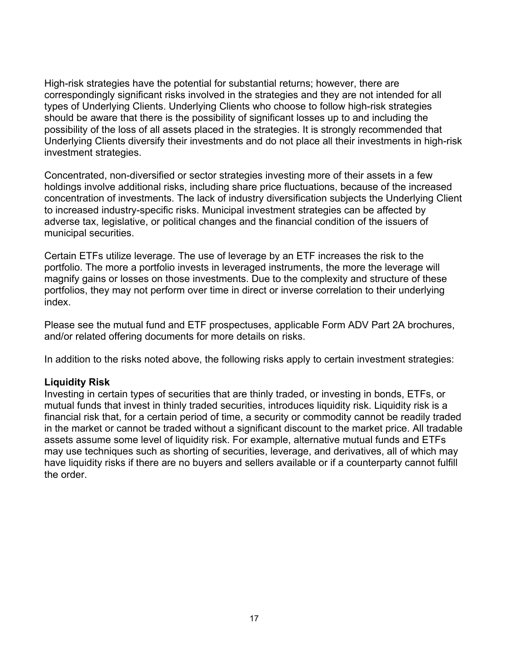High-risk strategies have the potential for substantial returns; however, there are correspondingly significant risks involved in the strategies and they are not intended for all types of Underlying Clients. Underlying Clients who choose to follow high-risk strategies should be aware that there is the possibility of significant losses up to and including the possibility of the loss of all assets placed in the strategies. It is strongly recommended that Underlying Clients diversify their investments and do not place all their investments in high-risk investment strategies.

Concentrated, non-diversified or sector strategies investing more of their assets in a few holdings involve additional risks, including share price fluctuations, because of the increased concentration of investments. The lack of industry diversification subjects the Underlying Client to increased industry-specific risks. Municipal investment strategies can be affected by adverse tax, legislative, or political changes and the financial condition of the issuers of municipal securities.

Certain ETFs utilize leverage. The use of leverage by an ETF increases the risk to the portfolio. The more a portfolio invests in leveraged instruments, the more the leverage will magnify gains or losses on those investments. Due to the complexity and structure of these portfolios, they may not perform over time in direct or inverse correlation to their underlying index.

Please see the mutual fund and ETF prospectuses, applicable Form ADV Part 2A brochures, and/or related offering documents for more details on risks.

In addition to the risks noted above, the following risks apply to certain investment strategies:

#### **Liquidity Risk**

Investing in certain types of securities that are thinly traded, or investing in bonds, ETFs, or mutual funds that invest in thinly traded securities, introduces liquidity risk. Liquidity risk is a financial risk that, for a certain period of time, a security or commodity cannot be readily traded in the market or cannot be traded without a significant discount to the market price. All tradable assets assume some level of liquidity risk. For example, alternative mutual funds and ETFs may use techniques such as shorting of securities, leverage, and derivatives, all of which may have liquidity risks if there are no buyers and sellers available or if a counterparty cannot fulfill the order.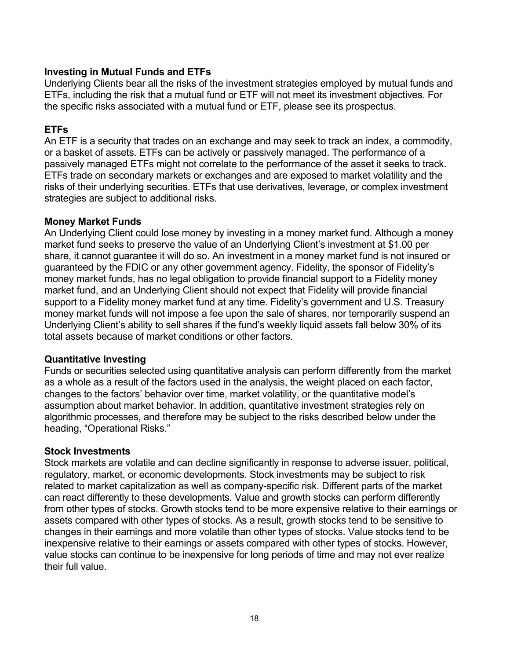### **Investing in Mutual Funds and ETFs**

Underlying Clients bear all the risks of the investment strategies employed by mutual funds and ETFs, including the risk that a mutual fund or ETF will not meet its investment objectives. For the specific risks associated with a mutual fund or ETF, please see its prospectus.

### **ETFs**

An ETF is a security that trades on an exchange and may seek to track an index, a commodity, or a basket of assets. ETFs can be actively or passively managed. The performance of a passively managed ETFs might not correlate to the performance of the asset it seeks to track. ETFs trade on secondary markets or exchanges and are exposed to market volatility and the risks of their underlying securities. ETFs that use derivatives, leverage, or complex investment strategies are subject to additional risks.

#### **Money Market Funds**

An Underlying Client could lose money by investing in a money market fund. Although a money market fund seeks to preserve the value of an Underlying Client's investment at \$1.00 per share, it cannot guarantee it will do so. An investment in a money market fund is not insured or guaranteed by the FDIC or any other government agency. Fidelity, the sponsor of Fidelity's money market funds, has no legal obligation to provide financial support to a Fidelity money market fund, and an Underlying Client should not expect that Fidelity will provide financial support to a Fidelity money market fund at any time. Fidelity's government and U.S. Treasury money market funds will not impose a fee upon the sale of shares, nor temporarily suspend an Underlying Client's ability to sell shares if the fund's weekly liquid assets fall below 30% of its total assets because of market conditions or other factors.

#### **Quantitative Investing**

Funds or securities selected using quantitative analysis can perform differently from the market as a whole as a result of the factors used in the analysis, the weight placed on each factor, changes to the factors' behavior over time, market volatility, or the quantitative model's assumption about market behavior. In addition, quantitative investment strategies rely on algorithmic processes, and therefore may be subject to the risks described below under the heading, "Operational Risks."

#### **Stock Investments**

Stock markets are volatile and can decline significantly in response to adverse issuer, political, regulatory, market, or economic developments. Stock investments may be subject to risk related to market capitalization as well as company-specific risk. Different parts of the market can react differently to these developments. Value and growth stocks can perform differently from other types of stocks. Growth stocks tend to be more expensive relative to their earnings or assets compared with other types of stocks. As a result, growth stocks tend to be sensitive to changes in their earnings and more volatile than other types of stocks. Value stocks tend to be inexpensive relative to their earnings or assets compared with other types of stocks. However, value stocks can continue to be inexpensive for long periods of time and may not ever realize their full value.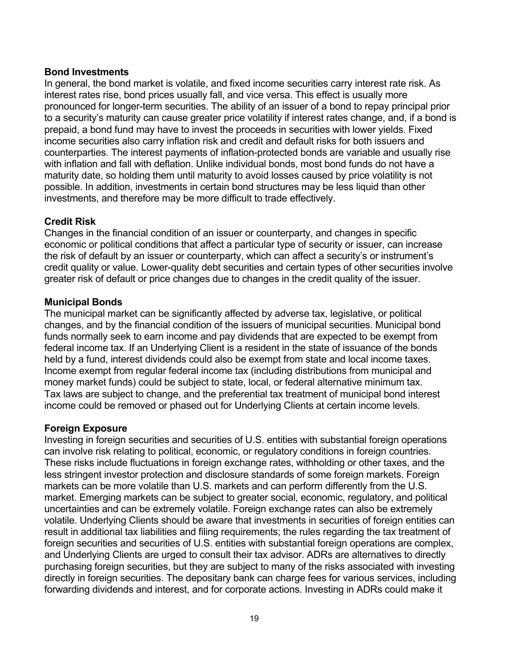#### **Bond Investments**

In general, the bond market is volatile, and fixed income securities carry interest rate risk. As interest rates rise, bond prices usually fall, and vice versa. This effect is usually more pronounced for longer-term securities. The ability of an issuer of a bond to repay principal prior to a security's maturity can cause greater price volatility if interest rates change, and, if a bond is prepaid, a bond fund may have to invest the proceeds in securities with lower yields. Fixed income securities also carry inflation risk and credit and default risks for both issuers and counterparties. The interest payments of inflation-protected bonds are variable and usually rise with inflation and fall with deflation. Unlike individual bonds, most bond funds do not have a maturity date, so holding them until maturity to avoid losses caused by price volatility is not possible. In addition, investments in certain bond structures may be less liquid than other investments, and therefore may be more difficult to trade effectively.

#### **Credit Risk**

Changes in the financial condition of an issuer or counterparty, and changes in specific economic or political conditions that affect a particular type of security or issuer, can increase the risk of default by an issuer or counterparty, which can affect a security's or instrument's credit quality or value. Lower-quality debt securities and certain types of other securities involve greater risk of default or price changes due to changes in the credit quality of the issuer.

#### **Municipal Bonds**

The municipal market can be significantly affected by adverse tax, legislative, or political changes, and by the financial condition of the issuers of municipal securities. Municipal bond funds normally seek to earn income and pay dividends that are expected to be exempt from federal income tax. If an Underlying Client is a resident in the state of issuance of the bonds held by a fund, interest dividends could also be exempt from state and local income taxes. Income exempt from regular federal income tax (including distributions from municipal and money market funds) could be subject to state, local, or federal alternative minimum tax. Tax laws are subject to change, and the preferential tax treatment of municipal bond interest income could be removed or phased out for Underlying Clients at certain income levels.

#### **Foreign Exposure**

Investing in foreign securities and securities of U.S. entities with substantial foreign operations can involve risk relating to political, economic, or regulatory conditions in foreign countries. These risks include fluctuations in foreign exchange rates, withholding or other taxes, and the less stringent investor protection and disclosure standards of some foreign markets. Foreign markets can be more volatile than U.S. markets and can perform differently from the U.S. market. Emerging markets can be subject to greater social, economic, regulatory, and political uncertainties and can be extremely volatile. Foreign exchange rates can also be extremely volatile. Underlying Clients should be aware that investments in securities of foreign entities can result in additional tax liabilities and filing requirements; the rules regarding the tax treatment of foreign securities and securities of U.S. entities with substantial foreign operations are complex, and Underlying Clients are urged to consult their tax advisor. ADRs are alternatives to directly purchasing foreign securities, but they are subject to many of the risks associated with investing directly in foreign securities. The depositary bank can charge fees for various services, including forwarding dividends and interest, and for corporate actions. Investing in ADRs could make it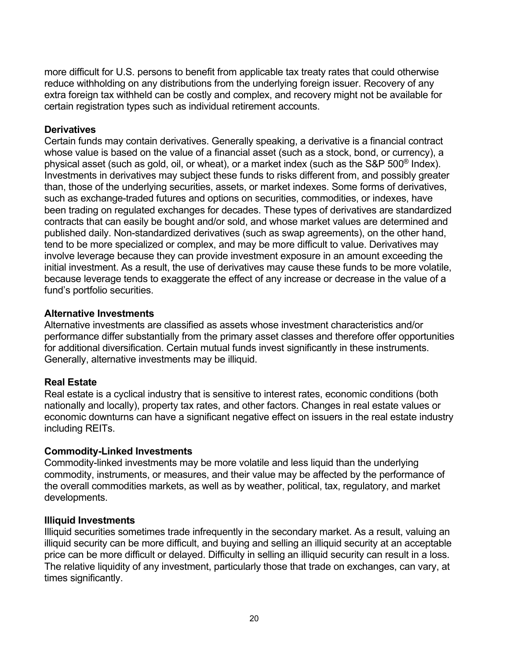more difficult for U.S. persons to benefit from applicable tax treaty rates that could otherwise reduce withholding on any distributions from the underlying foreign issuer. Recovery of any extra foreign tax withheld can be costly and complex, and recovery might not be available for certain registration types such as individual retirement accounts.

#### **Derivatives**

Certain funds may contain derivatives. Generally speaking, a derivative is a financial contract whose value is based on the value of a financial asset (such as a stock, bond, or currency), a physical asset (such as gold, oil, or wheat), or a market index (such as the S&P 500® Index). Investments in derivatives may subject these funds to risks different from, and possibly greater than, those of the underlying securities, assets, or market indexes. Some forms of derivatives, such as exchange-traded futures and options on securities, commodities, or indexes, have been trading on regulated exchanges for decades. These types of derivatives are standardized contracts that can easily be bought and/or sold, and whose market values are determined and published daily. Non-standardized derivatives (such as swap agreements), on the other hand, tend to be more specialized or complex, and may be more difficult to value. Derivatives may involve leverage because they can provide investment exposure in an amount exceeding the initial investment. As a result, the use of derivatives may cause these funds to be more volatile, because leverage tends to exaggerate the effect of any increase or decrease in the value of a fund's portfolio securities.

### **Alternative Investments**

Alternative investments are classified as assets whose investment characteristics and/or performance differ substantially from the primary asset classes and therefore offer opportunities for additional diversification. Certain mutual funds invest significantly in these instruments. Generally, alternative investments may be illiquid.

## **Real Estate**

Real estate is a cyclical industry that is sensitive to interest rates, economic conditions (both nationally and locally), property tax rates, and other factors. Changes in real estate values or economic downturns can have a significant negative effect on issuers in the real estate industry including REITs.

#### **Commodity-Linked Investments**

Commodity-linked investments may be more volatile and less liquid than the underlying commodity, instruments, or measures, and their value may be affected by the performance of the overall commodities markets, as well as by weather, political, tax, regulatory, and market developments.

#### **Illiquid Investments**

Illiquid securities sometimes trade infrequently in the secondary market. As a result, valuing an illiquid security can be more difficult, and buying and selling an illiquid security at an acceptable price can be more difficult or delayed. Difficulty in selling an illiquid security can result in a loss. The relative liquidity of any investment, particularly those that trade on exchanges, can vary, at times significantly.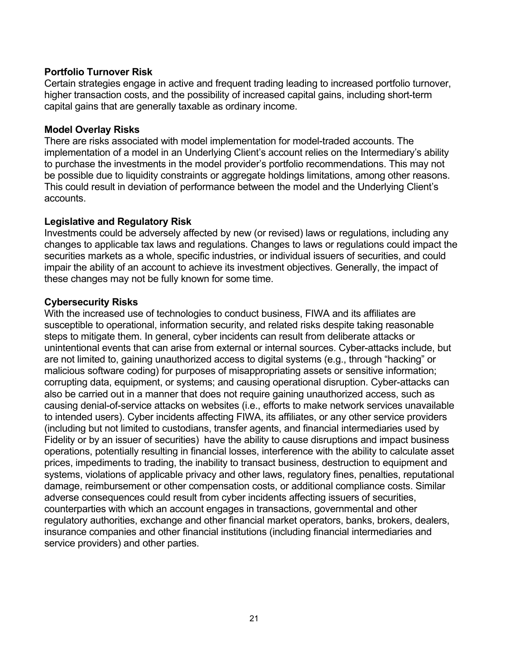### **Portfolio Turnover Risk**

Certain strategies engage in active and frequent trading leading to increased portfolio turnover, higher transaction costs, and the possibility of increased capital gains, including short-term capital gains that are generally taxable as ordinary income.

#### **Model Overlay Risks**

There are risks associated with model implementation for model-traded accounts. The implementation of a model in an Underlying Client's account relies on the Intermediary's ability to purchase the investments in the model provider's portfolio recommendations. This may not be possible due to liquidity constraints or aggregate holdings limitations, among other reasons. This could result in deviation of performance between the model and the Underlying Client's accounts.

### **Legislative and Regulatory Risk**

Investments could be adversely affected by new (or revised) laws or regulations, including any changes to applicable tax laws and regulations. Changes to laws or regulations could impact the securities markets as a whole, specific industries, or individual issuers of securities, and could impair the ability of an account to achieve its investment objectives. Generally, the impact of these changes may not be fully known for some time.

### **Cybersecurity Risks**

With the increased use of technologies to conduct business, FIWA and its affiliates are susceptible to operational, information security, and related risks despite taking reasonable steps to mitigate them. In general, cyber incidents can result from deliberate attacks or unintentional events that can arise from external or internal sources. Cyber-attacks include, but are not limited to, gaining unauthorized access to digital systems (e.g., through "hacking" or malicious software coding) for purposes of misappropriating assets or sensitive information; corrupting data, equipment, or systems; and causing operational disruption. Cyber-attacks can also be carried out in a manner that does not require gaining unauthorized access, such as causing denial-of-service attacks on websites (i.e., efforts to make network services unavailable to intended users). Cyber incidents affecting FIWA, its affiliates, or any other service providers (including but not limited to custodians, transfer agents, and financial intermediaries used by Fidelity or by an issuer of securities) have the ability to cause disruptions and impact business operations, potentially resulting in financial losses, interference with the ability to calculate asset prices, impediments to trading, the inability to transact business, destruction to equipment and systems, violations of applicable privacy and other laws, regulatory fines, penalties, reputational damage, reimbursement or other compensation costs, or additional compliance costs. Similar adverse consequences could result from cyber incidents affecting issuers of securities, counterparties with which an account engages in transactions, governmental and other regulatory authorities, exchange and other financial market operators, banks, brokers, dealers, insurance companies and other financial institutions (including financial intermediaries and service providers) and other parties.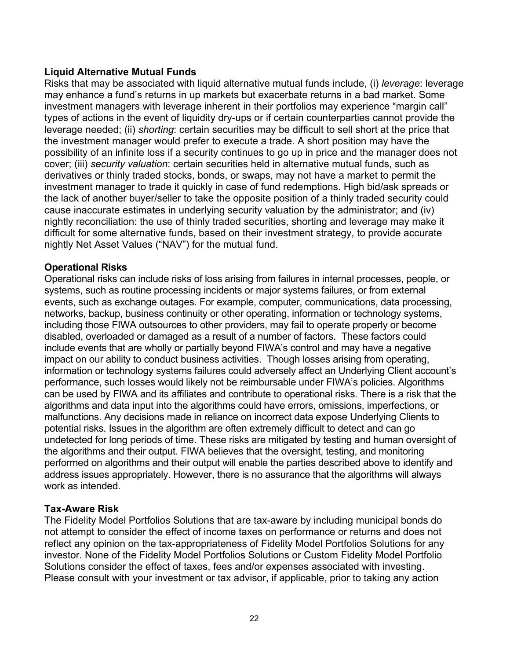### **Liquid Alternative Mutual Funds**

Risks that may be associated with liquid alternative mutual funds include, (i) *leverage*: leverage may enhance a fund's returns in up markets but exacerbate returns in a bad market. Some investment managers with leverage inherent in their portfolios may experience "margin call" types of actions in the event of liquidity dry-ups or if certain counterparties cannot provide the leverage needed; (ii) *shorting*: certain securities may be difficult to sell short at the price that the investment manager would prefer to execute a trade. A short position may have the possibility of an infinite loss if a security continues to go up in price and the manager does not cover; (iii) *security valuation*: certain securities held in alternative mutual funds, such as derivatives or thinly traded stocks, bonds, or swaps, may not have a market to permit the investment manager to trade it quickly in case of fund redemptions. High bid/ask spreads or the lack of another buyer/seller to take the opposite position of a thinly traded security could cause inaccurate estimates in underlying security valuation by the administrator; and (iv) nightly reconciliation: the use of thinly traded securities, shorting and leverage may make it difficult for some alternative funds, based on their investment strategy, to provide accurate nightly Net Asset Values ("NAV") for the mutual fund.

#### **Operational Risks**

Operational risks can include risks of loss arising from failures in internal processes, people, or systems, such as routine processing incidents or major systems failures, or from external events, such as exchange outages. For example, computer, communications, data processing, networks, backup, business continuity or other operating, information or technology systems, including those FIWA outsources to other providers, may fail to operate properly or become disabled, overloaded or damaged as a result of a number of factors. These factors could include events that are wholly or partially beyond FIWA's control and may have a negative impact on our ability to conduct business activities. Though losses arising from operating, information or technology systems failures could adversely affect an Underlying Client account's performance, such losses would likely not be reimbursable under FIWA's policies. Algorithms can be used by FIWA and its affiliates and contribute to operational risks. There is a risk that the algorithms and data input into the algorithms could have errors, omissions, imperfections, or malfunctions. Any decisions made in reliance on incorrect data expose Underlying Clients to potential risks. Issues in the algorithm are often extremely difficult to detect and can go undetected for long periods of time. These risks are mitigated by testing and human oversight of the algorithms and their output. FIWA believes that the oversight, testing, and monitoring performed on algorithms and their output will enable the parties described above to identify and address issues appropriately. However, there is no assurance that the algorithms will always work as intended.

#### **Tax-Aware Risk**

The Fidelity Model Portfolios Solutions that are tax-aware by including municipal bonds do not attempt to consider the effect of income taxes on performance or returns and does not reflect any opinion on the tax-appropriateness of Fidelity Model Portfolios Solutions for any investor. None of the Fidelity Model Portfolios Solutions or Custom Fidelity Model Portfolio Solutions consider the effect of taxes, fees and/or expenses associated with investing. Please consult with your investment or tax advisor, if applicable, prior to taking any action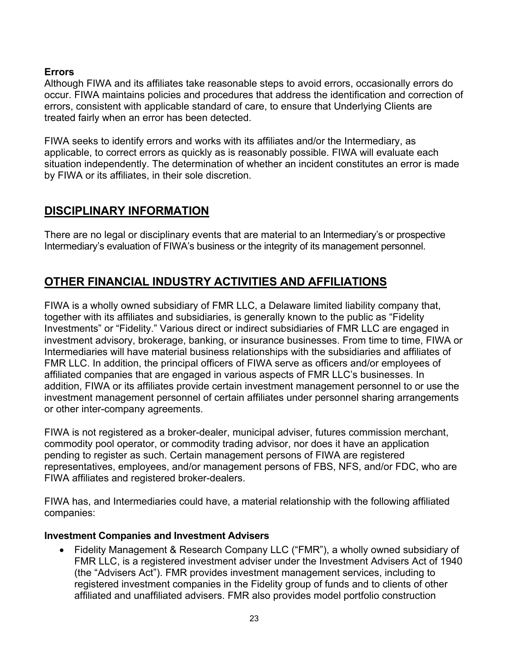## **Errors**

Although FIWA and its affiliates take reasonable steps to avoid errors, occasionally errors do occur. FIWA maintains policies and procedures that address the identification and correction of errors, consistent with applicable standard of care, to ensure that Underlying Clients are treated fairly when an error has been detected.

FIWA seeks to identify errors and works with its affiliates and/or the Intermediary, as applicable, to correct errors as quickly as is reasonably possible. FIWA will evaluate each situation independently. The determination of whether an incident constitutes an error is made by FIWA or its affiliates, in their sole discretion.

## <span id="page-22-0"></span>**DISCIPLINARY INFORMATION**

There are no legal or disciplinary events that are material to an Intermediary's or prospective Intermediary's evaluation of FIWA's business or the integrity of its management personnel.

# <span id="page-22-1"></span>**OTHER FINANCIAL INDUSTRY ACTIVITIES AND AFFILIATIONS**

FIWA is a wholly owned subsidiary of FMR LLC, a Delaware limited liability company that, together with its affiliates and subsidiaries, is generally known to the public as "Fidelity Investments" or "Fidelity." Various direct or indirect subsidiaries of FMR LLC are engaged in investment advisory, brokerage, banking, or insurance businesses. From time to time, FIWA or Intermediaries will have material business relationships with the subsidiaries and affiliates of FMR LLC. In addition, the principal officers of FIWA serve as officers and/or employees of affiliated companies that are engaged in various aspects of FMR LLC's businesses. In addition, FIWA or its affiliates provide certain investment management personnel to or use the investment management personnel of certain affiliates under personnel sharing arrangements or other inter-company agreements.

FIWA is not registered as a broker-dealer, municipal adviser, futures commission merchant, commodity pool operator, or commodity trading advisor, nor does it have an application pending to register as such. Certain management persons of FIWA are registered representatives, employees, and/or management persons of FBS, NFS, and/or FDC, who are FIWA affiliates and registered broker-dealers.

FIWA has, and Intermediaries could have, a material relationship with the following affiliated companies:

#### **Investment Companies and Investment Advisers**

• Fidelity Management & Research Company LLC ("FMR"), a wholly owned subsidiary of FMR LLC, is a registered investment adviser under the Investment Advisers Act of 1940 (the "Advisers Act"). FMR provides investment management services, including to registered investment companies in the Fidelity group of funds and to clients of other affiliated and unaffiliated advisers. FMR also provides model portfolio construction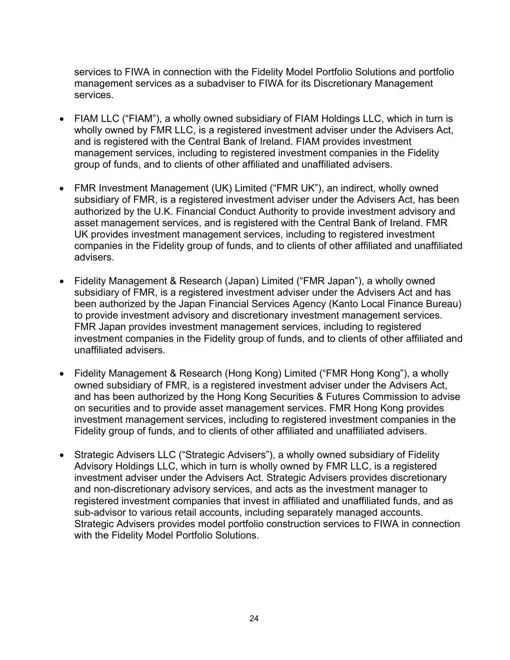services to FIWA in connection with the Fidelity Model Portfolio Solutions and portfolio management services as a subadviser to FIWA for its Discretionary Management services.

- FIAM LLC ("FIAM"), a wholly owned subsidiary of FIAM Holdings LLC, which in turn is wholly owned by FMR LLC, is a registered investment adviser under the Advisers Act, and is registered with the Central Bank of Ireland. FIAM provides investment management services, including to registered investment companies in the Fidelity group of funds, and to clients of other affiliated and unaffiliated advisers.
- FMR Investment Management (UK) Limited ("FMR UK"), an indirect, wholly owned subsidiary of FMR, is a registered investment adviser under the Advisers Act, has been authorized by the U.K. Financial Conduct Authority to provide investment advisory and asset management services, and is registered with the Central Bank of Ireland. FMR UK provides investment management services, including to registered investment companies in the Fidelity group of funds, and to clients of other affiliated and unaffiliated advisers.
- Fidelity Management & Research (Japan) Limited ("FMR Japan"), a wholly owned subsidiary of FMR, is a registered investment adviser under the Advisers Act and has been authorized by the Japan Financial Services Agency (Kanto Local Finance Bureau) to provide investment advisory and discretionary investment management services. FMR Japan provides investment management services, including to registered investment companies in the Fidelity group of funds, and to clients of other affiliated and unaffiliated advisers.
- Fidelity Management & Research (Hong Kong) Limited ("FMR Hong Kong"), a wholly owned subsidiary of FMR, is a registered investment adviser under the Advisers Act, and has been authorized by the Hong Kong Securities & Futures Commission to advise on securities and to provide asset management services. FMR Hong Kong provides investment management services, including to registered investment companies in the Fidelity group of funds, and to clients of other affiliated and unaffiliated advisers.
- Strategic Advisers LLC ("Strategic Advisers"), a wholly owned subsidiary of Fidelity Advisory Holdings LLC, which in turn is wholly owned by FMR LLC, is a registered investment adviser under the Advisers Act. Strategic Advisers provides discretionary and non-discretionary advisory services, and acts as the investment manager to registered investment companies that invest in affiliated and unaffiliated funds, and as sub-advisor to various retail accounts, including separately managed accounts. Strategic Advisers provides model portfolio construction services to FIWA in connection with the Fidelity Model Portfolio Solutions.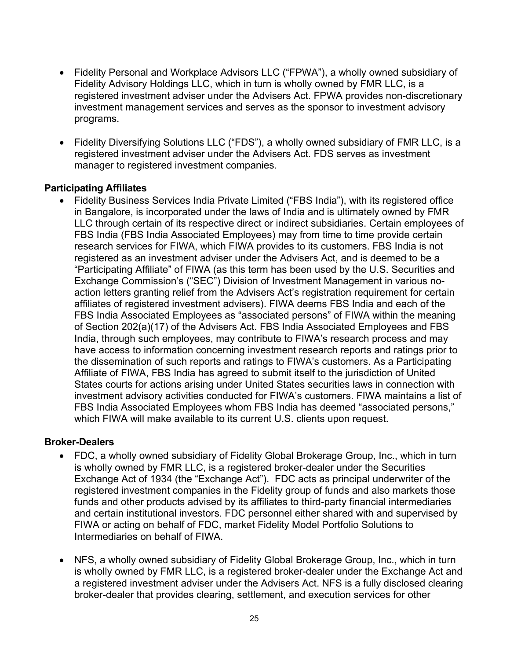- Fidelity Personal and Workplace Advisors LLC ("FPWA"), a wholly owned subsidiary of Fidelity Advisory Holdings LLC, which in turn is wholly owned by FMR LLC, is a registered investment adviser under the Advisers Act. FPWA provides non-discretionary investment management services and serves as the sponsor to investment advisory programs.
- Fidelity Diversifying Solutions LLC ("FDS"), a wholly owned subsidiary of FMR LLC, is a registered investment adviser under the Advisers Act. FDS serves as investment manager to registered investment companies.

#### **Participating Affiliates**

• Fidelity Business Services India Private Limited ("FBS India"), with its registered office in Bangalore, is incorporated under the laws of India and is ultimately owned by FMR LLC through certain of its respective direct or indirect subsidiaries. Certain employees of FBS India (FBS India Associated Employees) may from time to time provide certain research services for FIWA, which FIWA provides to its customers. FBS India is not registered as an investment adviser under the Advisers Act, and is deemed to be a "Participating Affiliate" of FIWA (as this term has been used by the U.S. Securities and Exchange Commission's ("SEC") Division of Investment Management in various noaction letters granting relief from the Advisers Act's registration requirement for certain affiliates of registered investment advisers). FIWA deems FBS India and each of the FBS India Associated Employees as "associated persons" of FIWA within the meaning of Section 202(a)(17) of the Advisers Act. FBS India Associated Employees and FBS India, through such employees, may contribute to FIWA's research process and may have access to information concerning investment research reports and ratings prior to the dissemination of such reports and ratings to FIWA's customers. As a Participating Affiliate of FIWA, FBS India has agreed to submit itself to the jurisdiction of United States courts for actions arising under United States securities laws in connection with investment advisory activities conducted for FIWA's customers. FIWA maintains a list of FBS India Associated Employees whom FBS India has deemed "associated persons," which FIWA will make available to its current U.S. clients upon request.

#### **Broker-Dealers**

- FDC, a wholly owned subsidiary of Fidelity Global Brokerage Group, Inc., which in turn is wholly owned by FMR LLC, is a registered broker-dealer under the Securities Exchange Act of 1934 (the "Exchange Act"). FDC acts as principal underwriter of the registered investment companies in the Fidelity group of funds and also markets those funds and other products advised by its affiliates to third-party financial intermediaries and certain institutional investors. FDC personnel either shared with and supervised by FIWA or acting on behalf of FDC, market Fidelity Model Portfolio Solutions to Intermediaries on behalf of FIWA.
- NFS, a wholly owned subsidiary of Fidelity Global Brokerage Group, Inc., which in turn is wholly owned by FMR LLC, is a registered broker-dealer under the Exchange Act and a registered investment adviser under the Advisers Act. NFS is a fully disclosed clearing broker-dealer that provides clearing, settlement, and execution services for other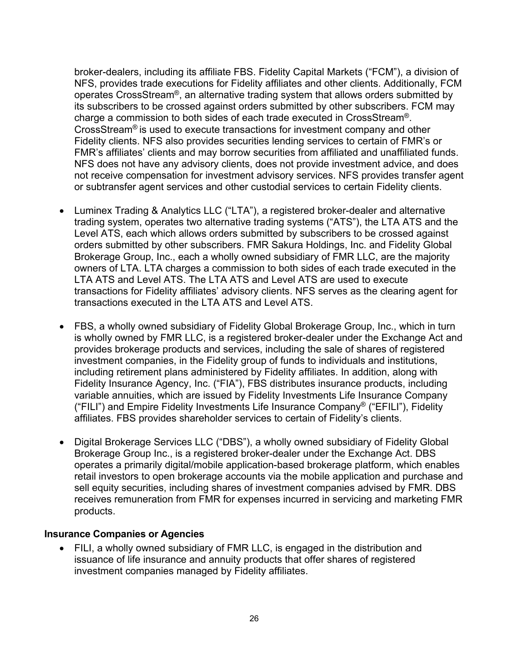broker-dealers, including its affiliate FBS. Fidelity Capital Markets ("FCM"), a division of NFS, provides trade executions for Fidelity affiliates and other clients. Additionally, FCM operates CrossStream<sup>®</sup>, an alternative trading system that allows orders submitted by its subscribers to be crossed against orders submitted by other subscribers. FCM may charge a commission to both sides of each trade executed in CrossStream<sup>®</sup>. CrossStream® is used to execute transactions for investment company and other Fidelity clients. NFS also provides securities lending services to certain of FMR's or FMR's affiliates' clients and may borrow securities from affiliated and unaffiliated funds. NFS does not have any advisory clients, does not provide investment advice, and does not receive compensation for investment advisory services. NFS provides transfer agent or subtransfer agent services and other custodial services to certain Fidelity clients.

- Luminex Trading & Analytics LLC ("LTA"), a registered broker-dealer and alternative trading system, operates two alternative trading systems ("ATS"), the LTA ATS and the Level ATS, each which allows orders submitted by subscribers to be crossed against orders submitted by other subscribers. FMR Sakura Holdings, Inc. and Fidelity Global Brokerage Group, Inc., each a wholly owned subsidiary of FMR LLC, are the majority owners of LTA. LTA charges a commission to both sides of each trade executed in the LTA ATS and Level ATS. The LTA ATS and Level ATS are used to execute transactions for Fidelity affiliates' advisory clients. NFS serves as the clearing agent for transactions executed in the LTA ATS and Level ATS.
- FBS, a wholly owned subsidiary of Fidelity Global Brokerage Group, Inc., which in turn is wholly owned by FMR LLC, is a registered broker-dealer under the Exchange Act and provides brokerage products and services, including the sale of shares of registered investment companies, in the Fidelity group of funds to individuals and institutions, including retirement plans administered by Fidelity affiliates. In addition, along with Fidelity Insurance Agency, Inc. ("FIA"), FBS distributes insurance products, including variable annuities, which are issued by Fidelity Investments Life Insurance Company ("FILI") and Empire Fidelity Investments Life Insurance Company® ("EFILI"), Fidelity affiliates. FBS provides shareholder services to certain of Fidelity's clients.
- Digital Brokerage Services LLC ("DBS"), a wholly owned subsidiary of Fidelity Global Brokerage Group Inc., is a registered broker-dealer under the Exchange Act. DBS operates a primarily digital/mobile application-based brokerage platform, which enables retail investors to open brokerage accounts via the mobile application and purchase and sell equity securities, including shares of investment companies advised by FMR. DBS receives remuneration from FMR for expenses incurred in servicing and marketing FMR products.

#### **Insurance Companies or Agencies**

• FILI, a wholly owned subsidiary of FMR LLC, is engaged in the distribution and issuance of life insurance and annuity products that offer shares of registered investment companies managed by Fidelity affiliates.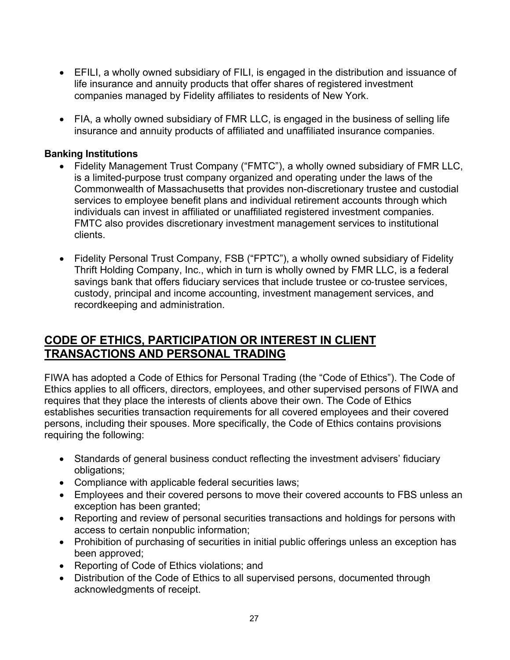- EFILI, a wholly owned subsidiary of FILI, is engaged in the distribution and issuance of life insurance and annuity products that offer shares of registered investment companies managed by Fidelity affiliates to residents of New York.
- FIA, a wholly owned subsidiary of FMR LLC, is engaged in the business of selling life insurance and annuity products of affiliated and unaffiliated insurance companies.

### **Banking Institutions**

- Fidelity Management Trust Company ("FMTC"), a wholly owned subsidiary of FMR LLC, is a limited-purpose trust company organized and operating under the laws of the Commonwealth of Massachusetts that provides non-discretionary trustee and custodial services to employee benefit plans and individual retirement accounts through which individuals can invest in affiliated or unaffiliated registered investment companies. FMTC also provides discretionary investment management services to institutional clients.
- Fidelity Personal Trust Company, FSB ("FPTC"), a wholly owned subsidiary of Fidelity Thrift Holding Company, Inc., which in turn is wholly owned by FMR LLC, is a federal savings bank that offers fiduciary services that include trustee or co-trustee services, custody, principal and income accounting, investment management services, and recordkeeping and administration.

## <span id="page-26-0"></span>**CODE OF ETHICS, PARTICIPATION OR INTEREST IN CLIENT TRANSACTIONS AND PERSONAL TRADING**

FIWA has adopted a Code of Ethics for Personal Trading (the "Code of Ethics"). The Code of Ethics applies to all officers, directors, employees, and other supervised persons of FIWA and requires that they place the interests of clients above their own. The Code of Ethics establishes securities transaction requirements for all covered employees and their covered persons, including their spouses. More specifically, the Code of Ethics contains provisions requiring the following:

- Standards of general business conduct reflecting the investment advisers' fiduciary obligations;
- Compliance with applicable federal securities laws;
- Employees and their covered persons to move their covered accounts to FBS unless an exception has been granted;
- Reporting and review of personal securities transactions and holdings for persons with access to certain nonpublic information;
- Prohibition of purchasing of securities in initial public offerings unless an exception has been approved;
- Reporting of Code of Ethics violations; and
- Distribution of the Code of Ethics to all supervised persons, documented through acknowledgments of receipt.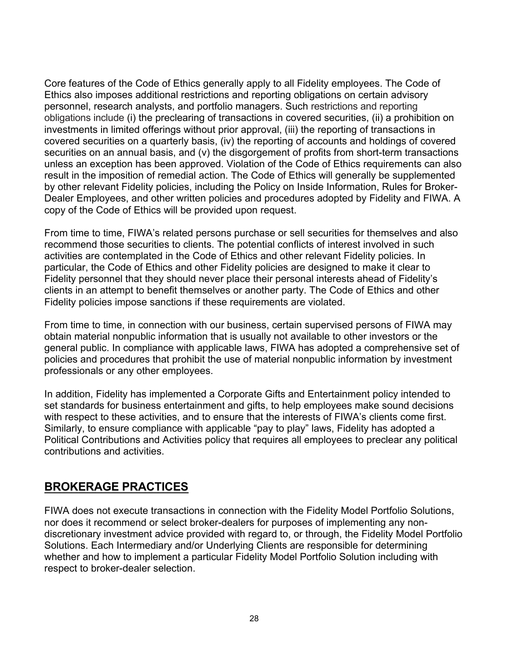Core features of the Code of Ethics generally apply to all Fidelity employees. The Code of Ethics also imposes additional restrictions and reporting obligations on certain advisory personnel, research analysts, and portfolio managers. Such restrictions and reporting obligations include (i) the preclearing of transactions in covered securities, (ii) a prohibition on investments in limited offerings without prior approval, (iii) the reporting of transactions in covered securities on a quarterly basis, (iv) the reporting of accounts and holdings of covered securities on an annual basis, and (v) the disgorgement of profits from short-term transactions unless an exception has been approved. Violation of the Code of Ethics requirements can also result in the imposition of remedial action. The Code of Ethics will generally be supplemented by other relevant Fidelity policies, including the Policy on Inside Information, Rules for Broker-Dealer Employees, and other written policies and procedures adopted by Fidelity and FIWA. A copy of the Code of Ethics will be provided upon request.

From time to time, FIWA's related persons purchase or sell securities for themselves and also recommend those securities to clients. The potential conflicts of interest involved in such activities are contemplated in the Code of Ethics and other relevant Fidelity policies. In particular, the Code of Ethics and other Fidelity policies are designed to make it clear to Fidelity personnel that they should never place their personal interests ahead of Fidelity's clients in an attempt to benefit themselves or another party. The Code of Ethics and other Fidelity policies impose sanctions if these requirements are violated.

From time to time, in connection with our business, certain supervised persons of FIWA may obtain material nonpublic information that is usually not available to other investors or the general public. In compliance with applicable laws, FIWA has adopted a comprehensive set of policies and procedures that prohibit the use of material nonpublic information by investment professionals or any other employees.

In addition, Fidelity has implemented a Corporate Gifts and Entertainment policy intended to set standards for business entertainment and gifts, to help employees make sound decisions with respect to these activities, and to ensure that the interests of FIWA's clients come first. Similarly, to ensure compliance with applicable "pay to play" laws, Fidelity has adopted a Political Contributions and Activities policy that requires all employees to preclear any political contributions and activities.

# <span id="page-27-0"></span>**BROKERAGE PRACTICES**

FIWA does not execute transactions in connection with the Fidelity Model Portfolio Solutions, nor does it recommend or select broker-dealers for purposes of implementing any nondiscretionary investment advice provided with regard to, or through, the Fidelity Model Portfolio Solutions. Each Intermediary and/or Underlying Clients are responsible for determining whether and how to implement a particular Fidelity Model Portfolio Solution including with respect to broker-dealer selection.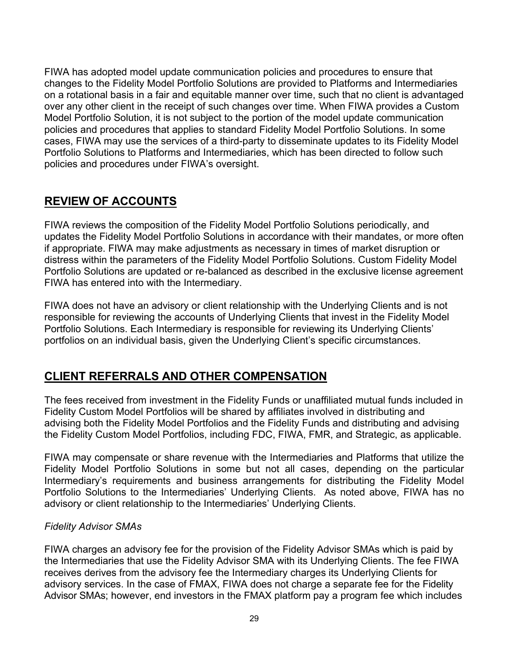FIWA has adopted model update communication policies and procedures to ensure that changes to the Fidelity Model Portfolio Solutions are provided to Platforms and Intermediaries on a rotational basis in a fair and equitable manner over time, such that no client is advantaged over any other client in the receipt of such changes over time. When FIWA provides a Custom Model Portfolio Solution, it is not subject to the portion of the model update communication policies and procedures that applies to standard Fidelity Model Portfolio Solutions. In some cases, FIWA may use the services of a third-party to disseminate updates to its Fidelity Model Portfolio Solutions to Platforms and Intermediaries, which has been directed to follow such policies and procedures under FIWA's oversight.

# <span id="page-28-0"></span>**REVIEW OF ACCOUNTS**

FIWA reviews the composition of the Fidelity Model Portfolio Solutions periodically, and updates the Fidelity Model Portfolio Solutions in accordance with their mandates, or more often if appropriate. FIWA may make adjustments as necessary in times of market disruption or distress within the parameters of the Fidelity Model Portfolio Solutions. Custom Fidelity Model Portfolio Solutions are updated or re-balanced as described in the exclusive license agreement FIWA has entered into with the Intermediary.

FIWA does not have an advisory or client relationship with the Underlying Clients and is not responsible for reviewing the accounts of Underlying Clients that invest in the Fidelity Model Portfolio Solutions. Each Intermediary is responsible for reviewing its Underlying Clients' portfolios on an individual basis, given the Underlying Client's specific circumstances.

## <span id="page-28-1"></span>**CLIENT REFERRALS AND OTHER COMPENSATION**

The fees received from investment in the Fidelity Funds or unaffiliated mutual funds included in Fidelity Custom Model Portfolios will be shared by affiliates involved in distributing and advising both the Fidelity Model Portfolios and the Fidelity Funds and distributing and advising the Fidelity Custom Model Portfolios, including FDC, FIWA, FMR, and Strategic, as applicable.

FIWA may compensate or share revenue with the Intermediaries and Platforms that utilize the Fidelity Model Portfolio Solutions in some but not all cases, depending on the particular Intermediary's requirements and business arrangements for distributing the Fidelity Model Portfolio Solutions to the Intermediaries' Underlying Clients. As noted above, FIWA has no advisory or client relationship to the Intermediaries' Underlying Clients.

#### *Fidelity Advisor SMAs*

FIWA charges an advisory fee for the provision of the Fidelity Advisor SMAs which is paid by the Intermediaries that use the Fidelity Advisor SMA with its Underlying Clients. The fee FIWA receives derives from the advisory fee the Intermediary charges its Underlying Clients for advisory services. In the case of FMAX, FIWA does not charge a separate fee for the Fidelity Advisor SMAs; however, end investors in the FMAX platform pay a program fee which includes